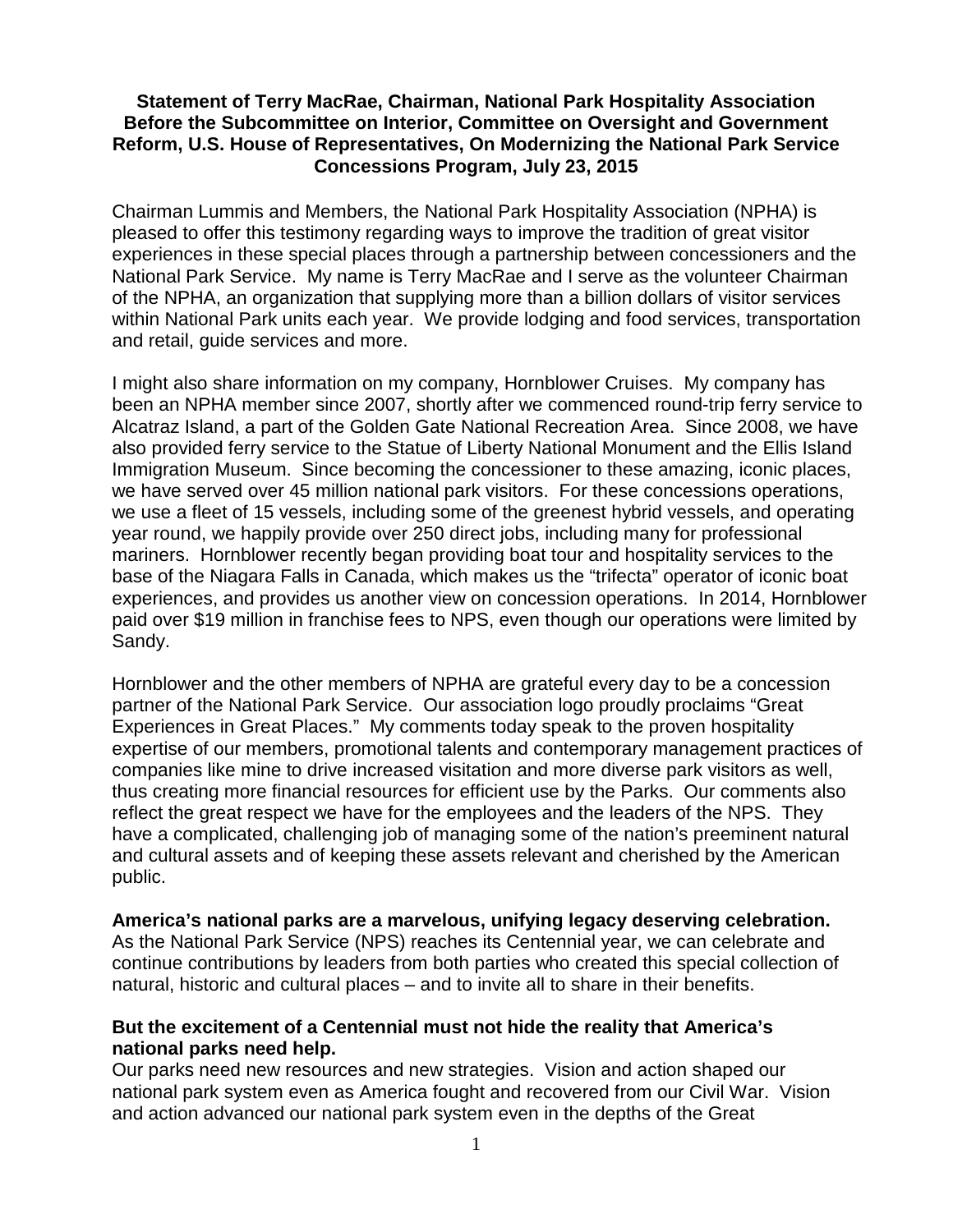### **Statement of Terry MacRae, Chairman, National Park Hospitality Association Before the Subcommittee on Interior, Committee on Oversight and Government Reform, U.S. House of Representatives, On Modernizing the National Park Service Concessions Program, July 23, 2015**

Chairman Lummis and Members, the National Park Hospitality Association (NPHA) is pleased to offer this testimony regarding ways to improve the tradition of great visitor experiences in these special places through a partnership between concessioners and the National Park Service. My name is Terry MacRae and I serve as the volunteer Chairman of the NPHA, an organization that supplying more than a billion dollars of visitor services within National Park units each year. We provide lodging and food services, transportation and retail, guide services and more.

I might also share information on my company, Hornblower Cruises. My company has been an NPHA member since 2007, shortly after we commenced round-trip ferry service to Alcatraz Island, a part of the Golden Gate National Recreation Area. Since 2008, we have also provided ferry service to the Statue of Liberty National Monument and the Ellis Island Immigration Museum. Since becoming the concessioner to these amazing, iconic places, we have served over 45 million national park visitors. For these concessions operations, we use a fleet of 15 vessels, including some of the greenest hybrid vessels, and operating year round, we happily provide over 250 direct jobs, including many for professional mariners. Hornblower recently began providing boat tour and hospitality services to the base of the Niagara Falls in Canada, which makes us the "trifecta" operator of iconic boat experiences, and provides us another view on concession operations. In 2014, Hornblower paid over \$19 million in franchise fees to NPS, even though our operations were limited by Sandy.

Hornblower and the other members of NPHA are grateful every day to be a concession partner of the National Park Service. Our association logo proudly proclaims "Great Experiences in Great Places." My comments today speak to the proven hospitality expertise of our members, promotional talents and contemporary management practices of companies like mine to drive increased visitation and more diverse park visitors as well, thus creating more financial resources for efficient use by the Parks. Our comments also reflect the great respect we have for the employees and the leaders of the NPS. They have a complicated, challenging job of managing some of the nation's preeminent natural and cultural assets and of keeping these assets relevant and cherished by the American public.

#### **America's national parks are a marvelous, unifying legacy deserving celebration.**

As the National Park Service (NPS) reaches its Centennial year, we can celebrate and continue contributions by leaders from both parties who created this special collection of natural, historic and cultural places – and to invite all to share in their benefits.

### **But the excitement of a Centennial must not hide the reality that America's national parks need help.**

Our parks need new resources and new strategies. Vision and action shaped our national park system even as America fought and recovered from our Civil War. Vision and action advanced our national park system even in the depths of the Great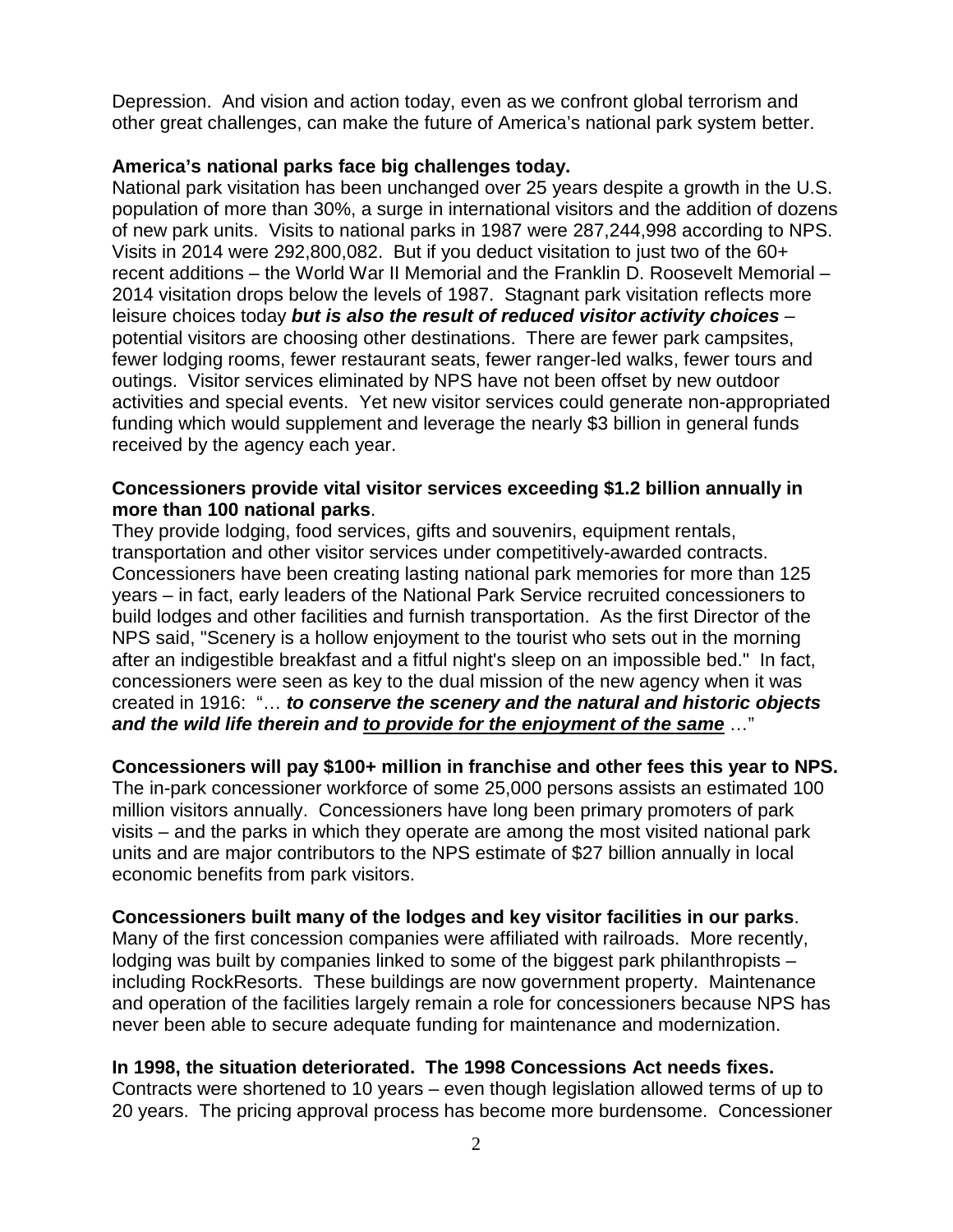Depression. And vision and action today, even as we confront global terrorism and other great challenges, can make the future of America's national park system better.

# **America's national parks face big challenges today.**

National park visitation has been unchanged over 25 years despite a growth in the U.S. population of more than 30%, a surge in international visitors and the addition of dozens of new park units. Visits to national parks in 1987 were 287,244,998 according to NPS. Visits in 2014 were 292,800,082. But if you deduct visitation to just two of the 60+ recent additions – the World War II Memorial and the Franklin D. Roosevelt Memorial – 2014 visitation drops below the levels of 1987. Stagnant park visitation reflects more leisure choices today *but is also the result of reduced visitor activity choices* – potential visitors are choosing other destinations. There are fewer park campsites, fewer lodging rooms, fewer restaurant seats, fewer ranger-led walks, fewer tours and outings. Visitor services eliminated by NPS have not been offset by new outdoor activities and special events. Yet new visitor services could generate non-appropriated funding which would supplement and leverage the nearly \$3 billion in general funds received by the agency each year.

# **Concessioners provide vital visitor services exceeding \$1.2 billion annually in more than 100 national parks**.

They provide lodging, food services, gifts and souvenirs, equipment rentals, transportation and other visitor services under competitively-awarded contracts. Concessioners have been creating lasting national park memories for more than 125 years – in fact, early leaders of the National Park Service recruited concessioners to build lodges and other facilities and furnish transportation. As the first Director of the NPS said, "Scenery is a hollow enjoyment to the tourist who sets out in the morning after an indigestible breakfast and a fitful night's sleep on an impossible bed." In fact, concessioners were seen as key to the dual mission of the new agency when it was created in 1916: "… *to conserve the scenery and the natural and historic objects and the wild life therein and to provide for the enjoyment of the same* …"

# **Concessioners will pay \$100+ million in franchise and other fees this year to NPS.**

The in-park concessioner workforce of some 25,000 persons assists an estimated 100 million visitors annually. Concessioners have long been primary promoters of park visits – and the parks in which they operate are among the most visited national park units and are major contributors to the NPS estimate of \$27 billion annually in local economic benefits from park visitors.

# **Concessioners built many of the lodges and key visitor facilities in our parks**.

Many of the first concession companies were affiliated with railroads. More recently, lodging was built by companies linked to some of the biggest park philanthropists – including RockResorts. These buildings are now government property. Maintenance and operation of the facilities largely remain a role for concessioners because NPS has never been able to secure adequate funding for maintenance and modernization.

# **In 1998, the situation deteriorated. The 1998 Concessions Act needs fixes.**

Contracts were shortened to 10 years – even though legislation allowed terms of up to 20 years. The pricing approval process has become more burdensome. Concessioner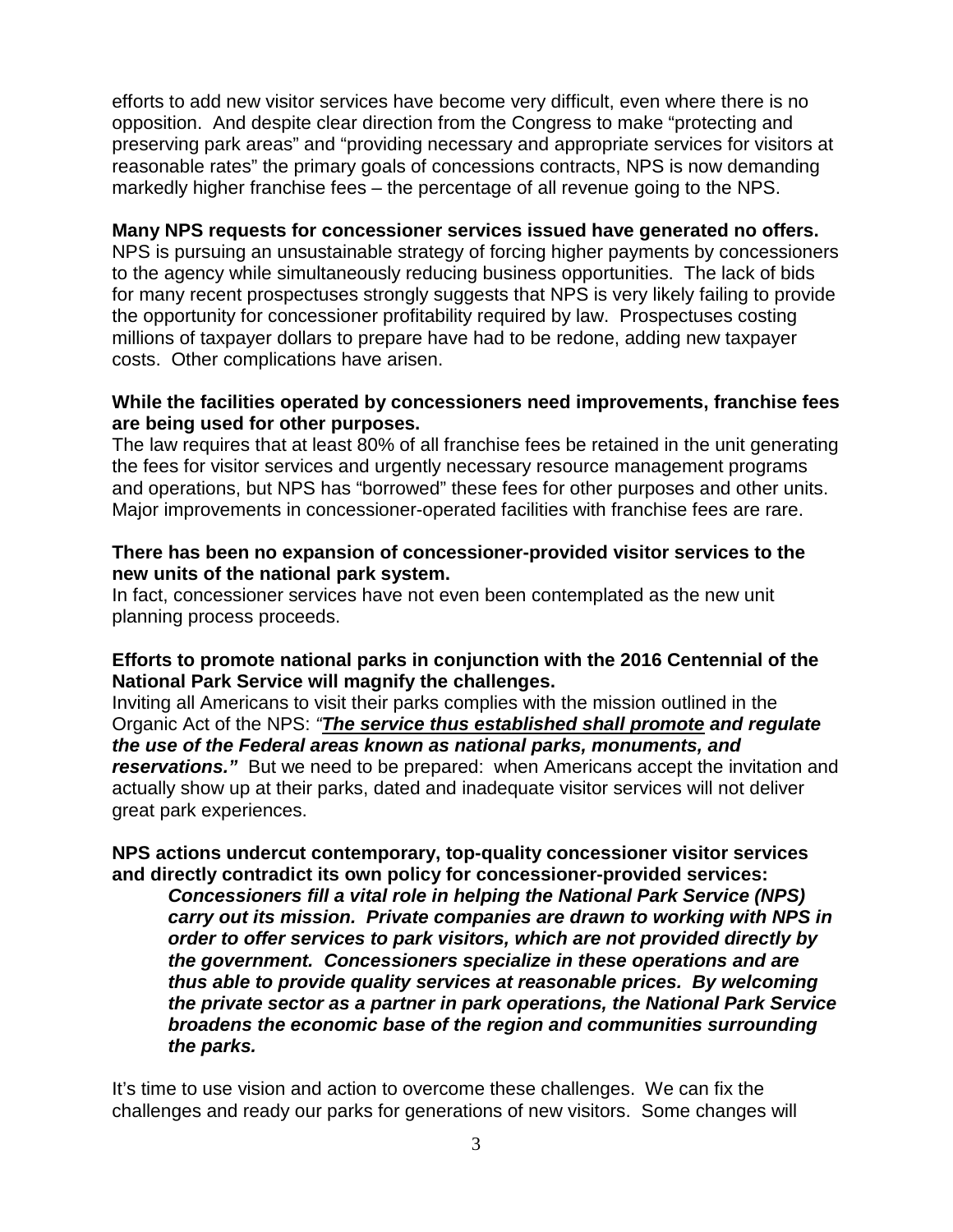efforts to add new visitor services have become very difficult, even where there is no opposition. And despite clear direction from the Congress to make "protecting and preserving park areas" and "providing necessary and appropriate services for visitors at reasonable rates" the primary goals of concessions contracts, NPS is now demanding markedly higher franchise fees – the percentage of all revenue going to the NPS.

#### **Many NPS requests for concessioner services issued have generated no offers.**

NPS is pursuing an unsustainable strategy of forcing higher payments by concessioners to the agency while simultaneously reducing business opportunities. The lack of bids for many recent prospectuses strongly suggests that NPS is very likely failing to provide the opportunity for concessioner profitability required by law. Prospectuses costing millions of taxpayer dollars to prepare have had to be redone, adding new taxpayer costs. Other complications have arisen.

### **While the facilities operated by concessioners need improvements, franchise fees are being used for other purposes.**

The law requires that at least 80% of all franchise fees be retained in the unit generating the fees for visitor services and urgently necessary resource management programs and operations, but NPS has "borrowed" these fees for other purposes and other units. Major improvements in concessioner-operated facilities with franchise fees are rare.

### **There has been no expansion of concessioner-provided visitor services to the new units of the national park system.**

In fact, concessioner services have not even been contemplated as the new unit planning process proceeds.

# **Efforts to promote national parks in conjunction with the 2016 Centennial of the National Park Service will magnify the challenges.**

Inviting all Americans to visit their parks complies with the mission outlined in the Organic Act of the NPS: *"The service thus established shall promote and regulate the use of the Federal areas known as national parks, monuments, and reservations."* But we need to be prepared: when Americans accept the invitation and actually show up at their parks, dated and inadequate visitor services will not deliver great park experiences.

### **NPS actions undercut contemporary, top-quality concessioner visitor services and directly contradict its own policy for concessioner-provided services:**

*Concessioners fill a vital role in helping the National Park Service (NPS) carry out its mission. Private companies are drawn to working with NPS in order to offer services to park visitors, which are not provided directly by the government. Concessioners specialize in these operations and are thus able to provide quality services at reasonable prices. By welcoming the private sector as a partner in park operations, the National Park Service broadens the economic base of the region and communities surrounding the parks.*

It's time to use vision and action to overcome these challenges. We can fix the challenges and ready our parks for generations of new visitors. Some changes will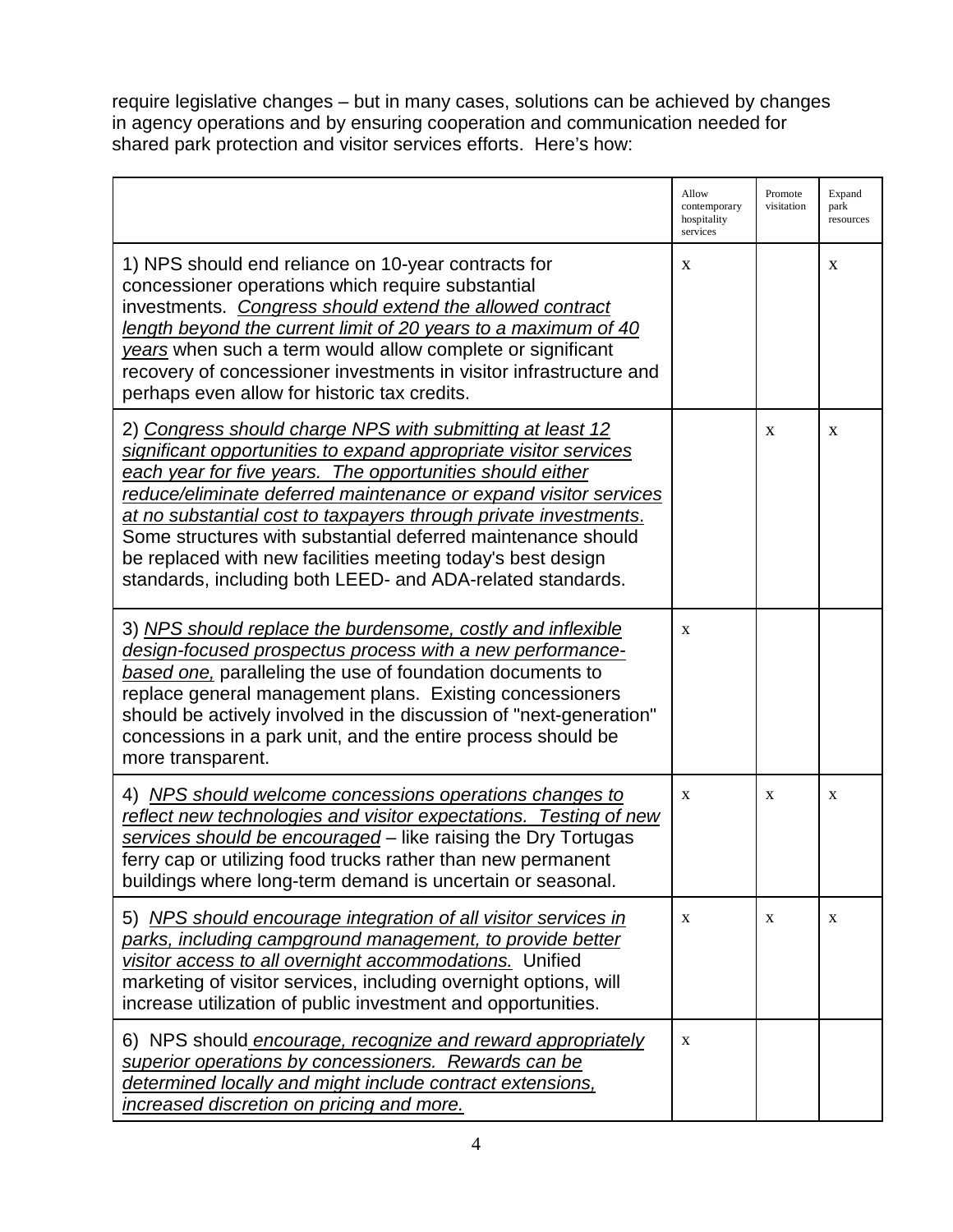require legislative changes – but in many cases, solutions can be achieved by changes in agency operations and by ensuring cooperation and communication needed for shared park protection and visitor services efforts. Here's how:

|                                                                                                                                                                                                                                                                                                                                                                                                                                                                                                                                 | Allow<br>contemporary<br>hospitality<br>services | Promote<br>visitation | Expand<br>park<br>resources |
|---------------------------------------------------------------------------------------------------------------------------------------------------------------------------------------------------------------------------------------------------------------------------------------------------------------------------------------------------------------------------------------------------------------------------------------------------------------------------------------------------------------------------------|--------------------------------------------------|-----------------------|-----------------------------|
| 1) NPS should end reliance on 10-year contracts for<br>concessioner operations which require substantial<br>investments. Congress should extend the allowed contract<br>length beyond the current limit of 20 years to a maximum of 40<br>years when such a term would allow complete or significant<br>recovery of concessioner investments in visitor infrastructure and<br>perhaps even allow for historic tax credits.                                                                                                      | X                                                |                       | X                           |
| 2) Congress should charge NPS with submitting at least 12<br>significant opportunities to expand appropriate visitor services<br>each year for five years. The opportunities should either<br>reduce/eliminate deferred maintenance or expand visitor services<br>at no substantial cost to taxpayers through private investments.<br>Some structures with substantial deferred maintenance should<br>be replaced with new facilities meeting today's best design<br>standards, including both LEED- and ADA-related standards. |                                                  | X                     | X                           |
| 3) NPS should replace the burdensome, costly and inflexible<br>design-focused prospectus process with a new performance-<br>based one, paralleling the use of foundation documents to<br>replace general management plans. Existing concessioners<br>should be actively involved in the discussion of "next-generation"<br>concessions in a park unit, and the entire process should be<br>more transparent.                                                                                                                    | X                                                |                       |                             |
| 4) NPS should welcome concessions operations changes to<br>reflect new technologies and visitor expectations. Testing of new<br>services should be encouraged - like raising the Dry Tortugas<br>ferry cap or utilizing food trucks rather than new permanent<br>buildings where long-term demand is uncertain or seasonal.                                                                                                                                                                                                     | X                                                | X                     | X                           |
| 5) NPS should encourage integration of all visitor services in<br>parks, including campground management, to provide better<br>visitor access to all overnight accommodations. Unified<br>marketing of visitor services, including overnight options, will<br>increase utilization of public investment and opportunities.                                                                                                                                                                                                      | X                                                | X                     | X                           |
| 6) NPS should encourage, recognize and reward appropriately<br>superior operations by concessioners. Rewards can be<br>determined locally and might include contract extensions,<br>increased discretion on pricing and more.                                                                                                                                                                                                                                                                                                   | X                                                |                       |                             |